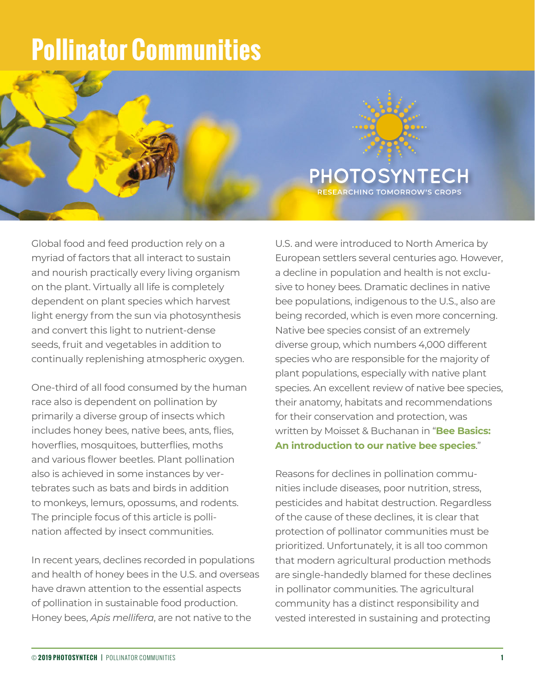## **Pollinator Communities**



Global food and feed production rely on a myriad of factors that all interact to sustain and nourish practically every living organism on the plant. Virtually all life is completely dependent on plant species which harvest light energy from the sun via photosynthesis and convert this light to nutrient-dense seeds, fruit and vegetables in addition to continually replenishing atmospheric oxygen.

One-third of all food consumed by the human race also is dependent on pollination by primarily a diverse group of insects which includes honey bees, native bees, ants, flies, hoverflies, mosquitoes, butterflies, moths and various flower beetles. Plant pollination also is achieved in some instances by vertebrates such as bats and birds in addition to monkeys, lemurs, opossums, and rodents. The principle focus of this article is pollination affected by insect communities.

In recent years, declines recorded in populations and health of honey bees in the U.S. and overseas have drawn attention to the essential aspects of pollination in sustainable food production. Honey bees, *Apis mellifera*, are not native to the

U.S. and were introduced to North America by European settlers several centuries ago. However, a decline in population and health is not exclusive to honey bees. Dramatic declines in native bee populations, indigenous to the U.S., also are being recorded, which is even more concerning. Native bee species consist of an extremely diverse group, which numbers 4,000 different species who are responsible for the majority of plant populations, especially with native plant species. An excellent review of native bee species, their anatomy, habitats and recommendations for their conservation and protection, was written by Moisset & Buchanan in "**[Bee Basics:](https://photosyntech.com/wp-content/resources/01_Bee_Basics_Intro_Moisset_Buchanan.pdf)  [An introduction to our native bee species](https://photosyntech.com/wp-content/resources/01_Bee_Basics_Intro_Moisset_Buchanan.pdf)**."

Reasons for declines in pollination communities include diseases, poor nutrition, stress, pesticides and habitat destruction. Regardless of the cause of these declines, it is clear that protection of pollinator communities must be prioritized. Unfortunately, it is all too common that modern agricultural production methods are single-handedly blamed for these declines in pollinator communities. The agricultural community has a distinct responsibility and vested interested in sustaining and protecting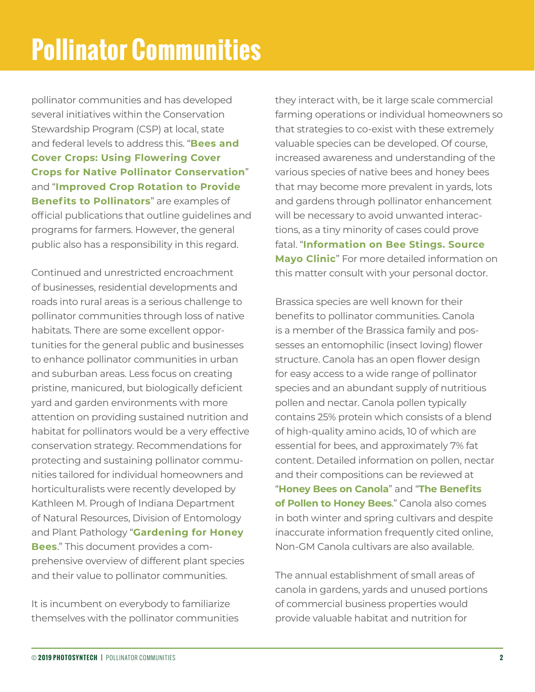pollinator communities and has developed several initiatives within the Conservation Stewardship Program (CSP) at local, state and federal levels to address this. "**[Bees and](https://photosyntech.com/wp-content/resources/02_Bees_and_Cover_Crops_PennState.pdf)  [Cover Crops: Using Flowering Cover](https://photosyntech.com/wp-content/resources/02_Bees_and_Cover_Crops_PennState.pdf)  [Crops for Native Pollinator Conservation](https://photosyntech.com/wp-content/resources/02_Bees_and_Cover_Crops_PennState.pdf)**" and "**[Improved Crop Rotation to Provide](https://photosyntech.com/wp-content/resources/03_Improved%20Crop%20Rotation_USDA.pdf)  [Benefits to Pollinators](https://photosyntech.com/wp-content/resources/03_Improved%20Crop%20Rotation_USDA.pdf)**" are examples of official publications that outline guidelines and programs for farmers. However, the general public also has a responsibility in this regard.

Continued and unrestricted encroachment of businesses, residential developments and roads into rural areas is a serious challenge to pollinator communities through loss of native habitats. There are some excellent opportunities for the general public and businesses to enhance pollinator communities in urban and suburban areas. Less focus on creating pristine, manicured, but biologically deficient yard and garden environments with more attention on providing sustained nutrition and habitat for pollinators would be a very effective conservation strategy. Recommendations for protecting and sustaining pollinator communities tailored for individual homeowners and horticulturalists were recently developed by Kathleen M. Prough of Indiana Department of Natural Resources, Division of Entomology and Plant Pathology "**[Gardening for Honey](https://photosyntech.com/wp-content/resources/04_Gardening_for_Honey_Bees_Prough.pdf)  [Bees](https://photosyntech.com/wp-content/resources/04_Gardening_for_Honey_Bees_Prough.pdf)**." This document provides a comprehensive overview of different plant species and their value to pollinator communities.

It is incumbent on everybody to familiarize themselves with the pollinator communities they interact with, be it large scale commercial farming operations or individual homeowners so that strategies to co-exist with these extremely valuable species can be developed. Of course, increased awareness and understanding of the various species of native bees and honey bees that may become more prevalent in yards, lots and gardens through pollinator enhancement will be necessary to avoid unwanted interactions, as a tiny minority of cases could prove fatal. "**[Information on Bee Stings. Source](https://photosyntech.com/wp-content/resources/05_Info%20on%20Bee%20Sting_Mayo%20Clinic.pdf)  [Mayo Clinic](https://photosyntech.com/wp-content/resources/05_Info%20on%20Bee%20Sting_Mayo%20Clinic.pdf)**" For more detailed information on this matter consult with your personal doctor.

Brassica species are well known for their benefits to pollinator communities. Canola is a member of the Brassica family and possesses an entomophilic (insect loving) flower structure. Canola has an open flower design for easy access to a wide range of pollinator species and an abundant supply of nutritious pollen and nectar. Canola pollen typically contains 25% protein which consists of a blend of high-quality amino acids, 10 of which are essential for bees, and approximately 7% fat content. Detailed information on pollen, nectar and their compositions can be reviewed at "**[Honey Bees on Canola](https://photosyntech.com/wp-content/resources/06_Honey%20Bees%20on%20Canola_NSW_Ag.pdf)**" and "**[The Benefits](https://photosyntech.com/wp-content/resources/07_Benefits%20of%20Pollen%20to%20Honey%20Bees_UF.pdf)  [of Pollen to Honey Bees](https://photosyntech.com/wp-content/resources/07_Benefits%20of%20Pollen%20to%20Honey%20Bees_UF.pdf)**." Canola also comes in both winter and spring cultivars and despite inaccurate information frequently cited online, Non-GM Canola cultivars are also available.

The annual establishment of small areas of canola in gardens, yards and unused portions of commercial business properties would provide valuable habitat and nutrition for